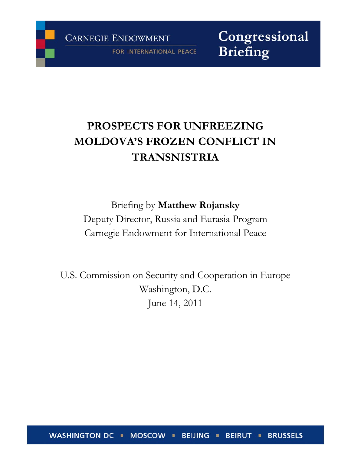FOR INTERNATIONAL PEACE

Congressional **Briefing** 

# **PROSPECTS FOR UNFREEZING MOLDOVA'S FROZEN CONFLICT IN TRANSNISTRIA**

Briefing by **Matthew Rojansky** Deputy Director, Russia and Eurasia Program Carnegie Endowment for International Peace

U.S. Commission on Security and Cooperation in Europe Washington, D.C. June 14, 2011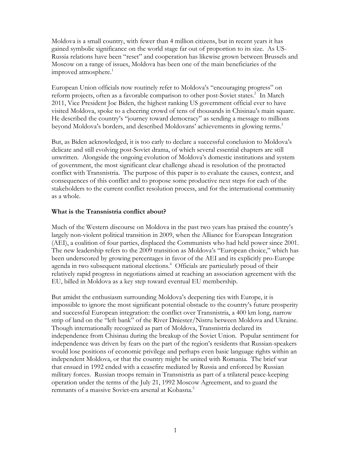Moldova is a small country, with fewer than 4 million citizens, but in recent years it has gained symbolic significance on the world stage far out of proportion to its size. As US-Russia relations have been "reset" and cooperation has likewise grown between Brussels and Moscow on a range of issues, Moldova has been one of the main beneficiaries of the improved atmosphere. $1$ 

European Union officials now routinely refer to Moldova's "encouraging progress" on reform projects, often as a favorable comparison to other post-Soviet states.<sup>2</sup> In March 2011, Vice President Joe Biden, the highest ranking US government official ever to have visited Moldova, spoke to a cheering crowd of tens of thousands in Chisinau's main square. He described the country's "journey toward democracy" as sending a message to millions beyond Moldova's borders, and described Moldovans' achievements in glowing terms.<sup>3</sup>

But, as Biden acknowledged, it is too early to declare a successful conclusion to Moldova's delicate and still evolving post-Soviet drama, of which several essential chapters are still unwritten. Alongside the ongoing evolution of Moldova's domestic institutions and system of government, the most significant clear challenge ahead is resolution of the protracted conflict with Transnistria. The purpose of this paper is to evaluate the causes, context, and consequences of this conflict and to propose some productive next steps for each of the stakeholders to the current conflict resolution process, and for the international community as a whole.

#### **What is the Transnistria conflict about?**

Much of the Western discourse on Moldova in the past two years has praised the country's largely non-violent political transition in 2009, when the Alliance for European Integration (AEI), a coalition of four parties, displaced the Communists who had held power since 2001. The new leadership refers to the 2009 transition as Moldova's "European choice," which has been underscored by growing percentages in favor of the AEI and its explicitly pro-Europe agenda in two subsequent national elections.<sup>4</sup> Officials are particularly proud of their relatively rapid progress in negotiations aimed at reaching an association agreement with the EU, billed in Moldova as a key step toward eventual EU membership.

But amidst the enthusiasm surrounding Moldova's deepening ties with Europe, it is impossible to ignore the most significant potential obstacle to the country's future prosperity and successful European integration: the conflict over Transnistria, a 400 km long, narrow strip of land on the "left bank" of the River Dniester/Nistru between Moldova and Ukraine. Though internationally recognized as part of Moldova, Transnistria declared its independence from Chisinau during the breakup of the Soviet Union. Popular sentiment for independence was driven by fears on the part of the region's residents that Russian-speakers would lose positions of economic privilege and perhaps even basic language rights within an independent Moldova, or that the country might be united with Romania. The brief war that ensued in 1992 ended with a ceasefire mediated by Russia and enforced by Russian military forces. Russian troops remain in Transnistria as part of a trilateral peace-keeping operation under the terms of the July 21, 1992 Moscow Agreement, and to guard the remnants of a massive Soviet-era arsenal at Kobasna.<sup>5</sup>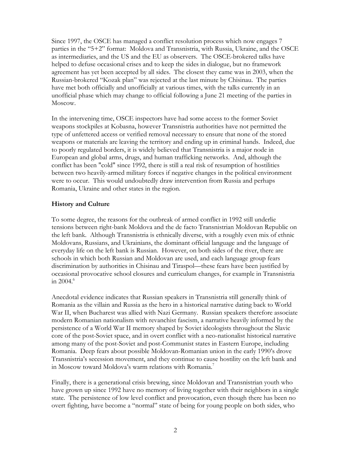Since 1997, the OSCE has managed a conflict resolution process which now engages 7 parties in the "5+2" format: Moldova and Transnistria, with Russia, Ukraine, and the OSCE as intermediaries, and the US and the EU as observers. The OSCE-brokered talks have helped to defuse occasional crises and to keep the sides in dialogue, but no framework agreement has yet been accepted by all sides. The closest they came was in 2003, when the Russian-brokered "Kozak plan" was rejected at the last minute by Chisinau. The parties have met both officially and unofficially at various times, with the talks currently in an unofficial phase which may change to official following a June 21 meeting of the parties in Moscow.

In the intervening time, OSCE inspectors have had some access to the former Soviet weapons stockpiles at Kobasna, however Transnistria authorities have not permitted the type of unfettered access or verified removal necessary to ensure that none of the stored weapons or materials are leaving the territory and ending up in criminal hands. Indeed, due to poorly regulated borders, it is widely believed that Transnistria is a major node in European and global arms, drugs, and human trafficking networks. And, although the conflict has been "cold" since 1992, there is still a real risk of resumption of hostilities between two heavily-armed military forces if negative changes in the political environment were to occur. This would undoubtedly draw intervention from Russia and perhaps Romania, Ukraine and other states in the region.

### **History and Culture**

To some degree, the reasons for the outbreak of armed conflict in 1992 still underlie tensions between right-bank Moldova and the de facto Transnistrian Moldovan Republic on the left bank. Although Transnistria is ethnically diverse, with a roughly even mix of ethnic Moldovans, Russians, and Ukrainians, the dominant official language and the language of everyday life on the left bank is Russian. However, on both sides of the river, there are schools in which both Russian and Moldovan are used, and each language group fears discrimination by authorities in Chisinau and Tiraspol—these fears have been justified by occasional provocative school closures and curriculum changes, for example in Transnistria in 2004. $^6$ 

Anecdotal evidence indicates that Russian speakers in Transnistria still generally think of Romania as the villain and Russia as the hero in a historical narrative dating back to World War II, when Bucharest was allied with Nazi Germany. Russian speakers therefore associate modern Romanian nationalism with revanchist fascism, a narrative heavily informed by the persistence of a World War II memory shaped by Soviet ideologists throughout the Slavic core of the post-Soviet space, and in overt conflict with a neo-nationalist historical narrative among many of the post-Soviet and post-Communist states in Eastern Europe, including Romania. Deep fears about possible Moldovan-Romanian union in the early 1990's drove Transnistria's secession movement, and they continue to cause hostility on the left bank and in Moscow toward Moldova's warm relations with Romania.<sup>7</sup>

Finally, there is a generational crisis brewing, since Moldovan and Transnistrian youth who have grown up since 1992 have no memory of living together with their neighbors in a single state. The persistence of low level conflict and provocation, even though there has been no overt fighting, have become a "normal" state of being for young people on both sides, who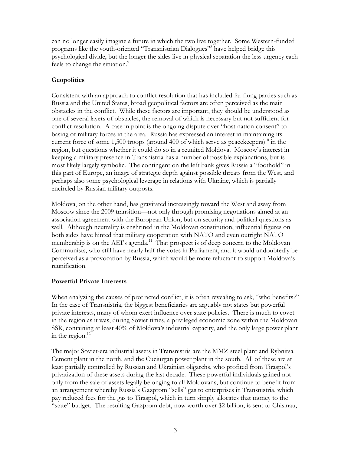can no longer easily imagine a future in which the two live together. Some Western-funded programs like the youth-oriented "Transnistrian Dialogues"8 have helped bridge this psychological divide, but the longer the sides live in physical separation the less urgency each feels to change the situation.<sup>9</sup>

## **Geopolitics**

Consistent with an approach to conflict resolution that has included far flung parties such as Russia and the United States, broad geopolitical factors are often perceived as the main obstacles in the conflict. While these factors are important, they should be understood as one of several layers of obstacles, the removal of which is necessary but not sufficient for conflict resolution. A case in point is the ongoing dispute over "host nation consent" to basing of military forces in the area. Russia has expressed an interest in maintaining its current force of some  $1,500$  troops (around 400 of which serve as peacekeepers)<sup>10</sup> in the region, but questions whether it could do so in a reunited Moldova. Moscow's interest in keeping a military presence in Transnistria has a number of possible explanations, but is most likely largely symbolic. The contingent on the left bank gives Russia a "foothold" in this part of Europe, an image of strategic depth against possible threats from the West, and perhaps also some psychological leverage in relations with Ukraine, which is partially encircled by Russian military outposts.

Moldova, on the other hand, has gravitated increasingly toward the West and away from Moscow since the 2009 transition—not only through promising negotiations aimed at an association agreement with the European Union, but on security and political questions as well. Although neutrality is enshrined in the Moldovan constitution, influential figures on both sides have hinted that military cooperation with NATO and even outright NATO membership is on the AEI's agenda.<sup>11</sup> That prospect is of deep concern to the Moldovan Communists, who still have nearly half the votes in Parliament, and it would undoubtedly be perceived as a provocation by Russia, which would be more reluctant to support Moldova's reunification.

## **Powerful Private Interests**

When analyzing the causes of protracted conflict, it is often revealing to ask, "who benefits?" In the case of Transnistria, the biggest beneficiaries are arguably not states but powerful private interests, many of whom exert influence over state policies. There is much to covet in the region as it was, during Soviet times, a privileged economic zone within the Moldovan SSR, containing at least 40% of Moldova's industrial capacity, and the only large power plant in the region. $^{12}$ 

The major Soviet-era industrial assets in Transnistria are the MMZ steel plant and Rybnitsa Cement plant in the north, and the Cuciurgan power plant in the south. All of these are at least partially controlled by Russian and Ukrainian oligarchs, who profited from Tiraspol's privatization of these assets during the last decade. These powerful individuals gained not only from the sale of assets legally belonging to all Moldovans, but continue to benefit from an arrangement whereby Russia's Gazprom "sells" gas to enterprises in Transnistria, which pay reduced fees for the gas to Tiraspol, which in turn simply allocates that money to the "state" budget. The resulting Gazprom debt, now worth over \$2 billion, is sent to Chisinau,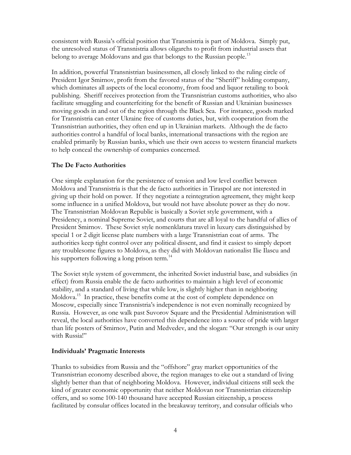consistent with Russia's official position that Transnistria is part of Moldova. Simply put, the unresolved status of Transnistria allows oligarchs to profit from industrial assets that belong to average Moldovans and gas that belongs to the Russian people.<sup>13</sup>

In addition, powerful Transnistrian businessmen, all closely linked to the ruling circle of President Igor Smirnov, profit from the favored status of the "Sheriff" holding company, which dominates all aspects of the local economy, from food and liquor retailing to book publishing. Sheriff receives protection from the Transnistrian customs authorities, who also facilitate smuggling and counterfeiting for the benefit of Russian and Ukrainian businesses moving goods in and out of the region through the Black Sea. For instance, goods marked for Transnistria can enter Ukraine free of customs duties, but, with cooperation from the Transnistrian authorities, they often end up in Ukrainian markets. Although the de facto authorities control a handful of local banks, international transactions with the region are enabled primarily by Russian banks, which use their own access to western financial markets to help conceal the ownership of companies concerned.

## **The De Facto Authorities**

One simple explanation for the persistence of tension and low level conflict between Moldova and Transnistria is that the de facto authorities in Tiraspol are not interested in giving up their hold on power. If they negotiate a reintegration agreement, they might keep some influence in a unified Moldova, but would not have absolute power as they do now. The Transnistrian Moldovan Republic is basically a Soviet style government, with a Presidency, a nominal Supreme Soviet, and courts that are all loyal to the handful of allies of President Smirnov. These Soviet style nomenklatura travel in luxury cars distinguished by special 1 or 2 digit license plate numbers with a large Transnistrian coat of arms. The authorities keep tight control over any political dissent, and find it easiest to simply deport any troublesome figures to Moldova, as they did with Moldovan nationalist Ilie Ilascu and his supporters following a long prison term.<sup>14</sup>

The Soviet style system of government, the inherited Soviet industrial base, and subsidies (in effect) from Russia enable the de facto authorities to maintain a high level of economic stability, and a standard of living that while low, is slightly higher than in neighboring Moldova.<sup>15</sup> In practice, these benefits come at the cost of complete dependence on Moscow, especially since Transnistria's independence is not even nominally recognized by Russia. However, as one walk past Suvorov Square and the Presidential Administration will reveal, the local authorities have converted this dependence into a source of pride with larger than life posters of Smirnov, Putin and Medvedev, and the slogan: "Our strength is our unity with Russia!"

### **Individuals' Pragmatic Interests**

Thanks to subsidies from Russia and the "offshore" gray market opportunities of the Transnistrian economy described above, the region manages to eke out a standard of living slightly better than that of neighboring Moldova. However, individual citizens still seek the kind of greater economic opportunity that neither Moldovan nor Transnistrian citizenship offers, and so some 100-140 thousand have accepted Russian citizenship, a process facilitated by consular offices located in the breakaway territory, and consular officials who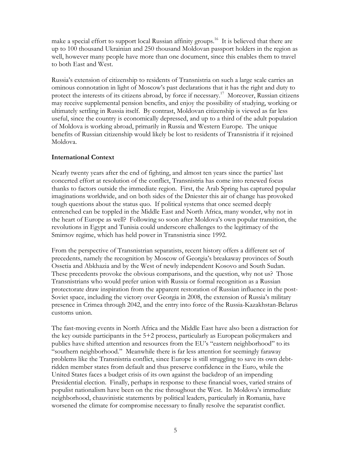make a special effort to support local Russian affinity groups.<sup>16</sup> It is believed that there are up to 100 thousand Ukrainian and 250 thousand Moldovan passport holders in the region as well, however many people have more than one document, since this enables them to travel to both East and West.

Russia's extension of citizenship to residents of Transnistria on such a large scale carries an ominous connotation in light of Moscow's past declarations that it has the right and duty to protect the interests of its citizens abroad, by force if necessary.<sup>17</sup> Moreover, Russian citizens may receive supplemental pension benefits, and enjoy the possibility of studying, working or ultimately settling in Russia itself. By contrast, Moldovan citizenship is viewed as far less useful, since the country is economically depressed, and up to a third of the adult population of Moldova is working abroad, primarily in Russia and Western Europe. The unique benefits of Russian citizenship would likely be lost to residents of Transnistria if it rejoined Moldova.

### **International Context**

Nearly twenty years after the end of fighting, and almost ten years since the parties' last concerted effort at resolution of the conflict, Transnistria has come into renewed focus thanks to factors outside the immediate region. First, the Arab Spring has captured popular imaginations worldwide, and on both sides of the Dniester this air of change has provoked tough questions about the status quo. If political systems that once seemed deeply entrenched can be toppled in the Middle East and North Africa, many wonder, why not in the heart of Europe as well? Following so soon after Moldova's own popular transition, the revolutions in Egypt and Tunisia could underscore challenges to the legitimacy of the Smirnov regime, which has held power in Transnistria since 1992.

From the perspective of Transnistrian separatists, recent history offers a different set of precedents, namely the recognition by Moscow of Georgia's breakaway provinces of South Ossetia and Abkhazia and by the West of newly independent Kosovo and South Sudan. These precedents provoke the obvious comparisons, and the question, why not us? Those Transnistrians who would prefer union with Russia or formal recognition as a Russian protectorate draw inspiration from the apparent restoration of Russian influence in the post-Soviet space, including the victory over Georgia in 2008, the extension of Russia's military presence in Crimea through 2042, and the entry into force of the Russia-Kazakhstan-Belarus customs union.

The fast-moving events in North Africa and the Middle East have also been a distraction for the key outside participants in the 5+2 process, particularly as European policymakers and publics have shifted attention and resources from the EU's "eastern neighborhood" to its "southern neighborhood." Meanwhile there is far less attention for seemingly faraway problems like the Transnistria conflict, since Europe is still struggling to save its own debtridden member states from default and thus preserve confidence in the Euro, while the United States faces a budget crisis of its own against the backdrop of an impending Presidential election. Finally, perhaps in response to these financial woes, varied strains of populist nationalism have been on the rise throughout the West. In Moldova's immediate neighborhood, chauvinistic statements by political leaders, particularly in Romania, have worsened the climate for compromise necessary to finally resolve the separatist conflict.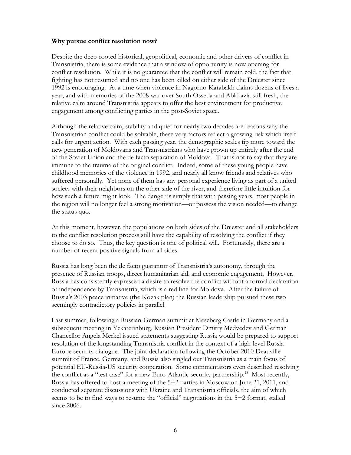#### **Why pursue conflict resolution now?**

Despite the deep-rooted historical, geopolitical, economic and other drivers of conflict in Transnistria, there is some evidence that a window of opportunity is now opening for conflict resolution. While it is no guarantee that the conflict will remain cold, the fact that fighting has not resumed and no one has been killed on either side of the Dniester since 1992 is encouraging. At a time when violence in Nagorno-Karabakh claims dozens of lives a year, and with memories of the 2008 war over South Ossetia and Abkhazia still fresh, the relative calm around Transnistria appears to offer the best environment for productive engagement among conflicting parties in the post-Soviet space.

Although the relative calm, stability and quiet for nearly two decades are reasons why the Transnistrian conflict could be solvable, these very factors reflect a growing risk which itself calls for urgent action. With each passing year, the demographic scales tip more toward the new generation of Moldovans and Transnistrians who have grown up entirely after the end of the Soviet Union and the de facto separation of Moldova. That is not to say that they are immune to the trauma of the original conflict. Indeed, some of these young people have childhood memories of the violence in 1992, and nearly all know friends and relatives who suffered personally. Yet none of them has any personal experience living as part of a united society with their neighbors on the other side of the river, and therefore little intuition for how such a future might look. The danger is simply that with passing years, most people in the region will no longer feel a strong motivation—or possess the vision needed—to change the status quo.

At this moment, however, the populations on both sides of the Dniester and all stakeholders to the conflict resolution process still have the capability of resolving the conflict if they choose to do so. Thus, the key question is one of political will. Fortunately, there are a number of recent positive signals from all sides.

Russia has long been the de facto guarantor of Transnistria's autonomy, through the presence of Russian troops, direct humanitarian aid, and economic engagement. However, Russia has consistently expressed a desire to resolve the conflict without a formal declaration of independence by Transnistria, which is a red line for Moldova. After the failure of Russia's 2003 peace initiative (the Kozak plan) the Russian leadership pursued these two seemingly contradictory policies in parallel.

Last summer, following a Russian-German summit at Meseberg Castle in Germany and a subsequent meeting in Yekaterinburg, Russian President Dmitry Medvedev and German Chancellor Angela Merkel issued statements suggesting Russia would be prepared to support resolution of the longstanding Transnistria conflict in the context of a high-level Russia-Europe security dialogue. The joint declaration following the October 2010 Deauville summit of France, Germany, and Russia also singled out Transnistria as a main focus of potential EU-Russia-US security cooperation. Some commentators even described resolving the conflict as a "test case" for a new Euro-Atlantic security partnership.<sup>18</sup> Most recently, Russia has offered to host a meeting of the 5+2 parties in Moscow on June 21, 2011, and conducted separate discussions with Ukraine and Transnistria officials, the aim of which seems to be to find ways to resume the "official" negotiations in the 5+2 format, stalled since 2006.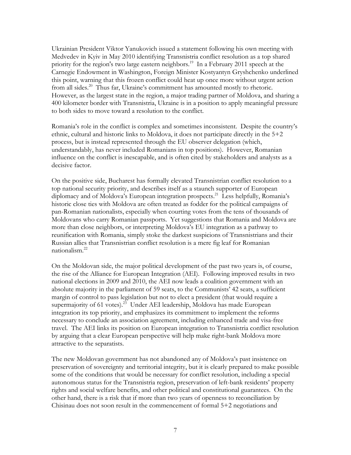Ukrainian President Viktor Yanukovich issued a statement following his own meeting with Medvedev in Kyiv in May 2010 identifying Transnistria conflict resolution as a top shared priority for the region's two large eastern neighbors.<sup>19</sup> In a February 2011 speech at the Carnegie Endowment in Washington, Foreign Minister Kostyantyn Gryshchenko underlined this point, warning that this frozen conflict could heat up once more without urgent action from all sides.<sup>20</sup> Thus far, Ukraine's commitment has amounted mostly to rhetoric. However, as the largest state in the region, a major trading partner of Moldova, and sharing a 400 kilometer border with Transnistria, Ukraine is in a position to apply meaningful pressure to both sides to move toward a resolution to the conflict.

Romania's role in the conflict is complex and sometimes inconsistent. Despite the country's ethnic, cultural and historic links to Moldova, it does not participate directly in the 5+2 process, but is instead represented through the EU observer delegation (which, understandably, has never included Romanians in top positions). However, Romanian influence on the conflict is inescapable, and is often cited by stakeholders and analysts as a decisive factor.

On the positive side, Bucharest has formally elevated Transnistrian conflict resolution to a top national security priority, and describes itself as a staunch supporter of European diplomacy and of Moldova's European integration prospects.<sup>21</sup> Less helpfully, Romania's historic close ties with Moldova are often treated as fodder for the political campaigns of pan-Romanian nationalists, especially when courting votes from the tens of thousands of Moldovans who carry Romanian passports. Yet suggestions that Romania and Moldova are more than close neighbors, or interpreting Moldova's EU integration as a pathway to reunification with Romania, simply stoke the darkest suspicions of Transnistrians and their Russian allies that Transnistrian conflict resolution is a mere fig leaf for Romanian nationalism.22

On the Moldovan side, the major political development of the past two years is, of course, the rise of the Alliance for European Integration (AEI). Following improved results in two national elections in 2009 and 2010, the AEI now leads a coalition government with an absolute majority in the parliament of 59 seats, to the Communists' 42 seats, a sufficient margin of control to pass legislation but not to elect a president (that would require a supermajority of 61 votes).<sup>23</sup> Under AEI leadership, Moldova has made European integration its top priority, and emphasizes its commitment to implement the reforms necessary to conclude an association agreement, including enhanced trade and visa-free travel. The AEI links its position on European integration to Transnistria conflict resolution by arguing that a clear European perspective will help make right-bank Moldova more attractive to the separatists.

The new Moldovan government has not abandoned any of Moldova's past insistence on preservation of sovereignty and territorial integrity, but it is clearly prepared to make possible some of the conditions that would be necessary for conflict resolution, including a special autonomous status for the Transnistria region, preservation of left-bank residents' property rights and social welfare benefits, and other political and constitutional guarantees. On the other hand, there is a risk that if more than two years of openness to reconciliation by Chisinau does not soon result in the commencement of formal 5+2 negotiations and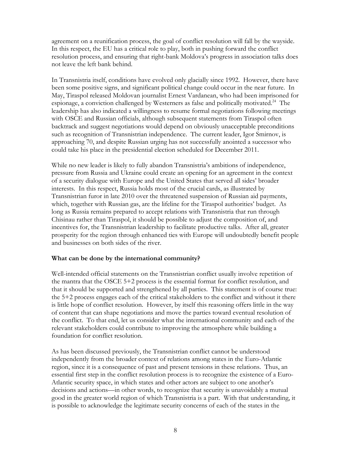agreement on a reunification process, the goal of conflict resolution will fall by the wayside. In this respect, the EU has a critical role to play, both in pushing forward the conflict resolution process, and ensuring that right-bank Moldova's progress in association talks does not leave the left bank behind.

In Transnistria itself, conditions have evolved only glacially since 1992. However, there have been some positive signs, and significant political change could occur in the near future. In May, Tiraspol released Moldovan journalist Ernest Vardanean, who had been imprisoned for espionage, a conviction challenged by Westerners as false and politically motivated.<sup>24</sup> The leadership has also indicated a willingness to resume formal negotiations following meetings with OSCE and Russian officials, although subsequent statements from Tiraspol often backtrack and suggest negotiations would depend on obviously unacceptable preconditions such as recognition of Transnistrian independence. The current leader, Igor Smirnov, is approaching 70, and despite Russian urging has not successfully anointed a successor who could take his place in the presidential election scheduled for December 2011.

While no new leader is likely to fully abandon Transnistria's ambitions of independence, pressure from Russia and Ukraine could create an opening for an agreement in the context of a security dialogue with Europe and the United States that served all sides' broader interests. In this respect, Russia holds most of the crucial cards, as illustrated by Transnistrian furor in late 2010 over the threatened suspension of Russian aid payments, which, together with Russian gas, are the lifeline for the Tiraspol authorities' budget. As long as Russia remains prepared to accept relations with Transnistria that run through Chisinau rather than Tiraspol, it should be possible to adjust the composition of, and incentives for, the Transnistrian leadership to facilitate productive talks. After all, greater prosperity for the region through enhanced ties with Europe will undoubtedly benefit people and businesses on both sides of the river.

#### **What can be done by the international community?**

Well-intended official statements on the Transnistrian conflict usually involve repetition of the mantra that the OSCE 5+2 process is the essential format for conflict resolution, and that it should be supported and strengthened by all parties. This statement is of course true: the 5+2 process engages each of the critical stakeholders to the conflict and without it there is little hope of conflict resolution. However, by itself this reasoning offers little in the way of content that can shape negotiations and move the parties toward eventual resolution of the conflict. To that end, let us consider what the international community and each of the relevant stakeholders could contribute to improving the atmosphere while building a foundation for conflict resolution.

As has been discussed previously, the Transnistrian conflict cannot be understood independently from the broader context of relations among states in the Euro-Atlantic region, since it is a consequence of past and present tensions in these relations. Thus, an essential first step in the conflict resolution process is to recognize the existence of a Euro-Atlantic security space, in which states and other actors are subject to one another's decisions and actions—in other words, to recognize that security is unavoidably a mutual good in the greater world region of which Transnistria is a part. With that understanding, it is possible to acknowledge the legitimate security concerns of each of the states in the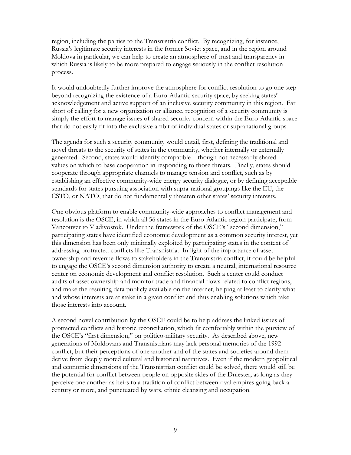region, including the parties to the Transnistria conflict. By recognizing, for instance, Russia's legitimate security interests in the former Soviet space, and in the region around Moldova in particular, we can help to create an atmosphere of trust and transparency in which Russia is likely to be more prepared to engage seriously in the conflict resolution process.

It would undoubtedly further improve the atmosphere for conflict resolution to go one step beyond recognizing the existence of a Euro-Atlantic security space, by seeking states' acknowledgement and active support of an inclusive security community in this region. Far short of calling for a new organization or alliance, recognition of a security community is simply the effort to manage issues of shared security concern within the Euro-Atlantic space that do not easily fit into the exclusive ambit of individual states or supranational groups.

The agenda for such a security community would entail, first, defining the traditional and novel threats to the security of states in the community, whether internally or externally generated. Second, states would identify compatible—though not necessarily shared values on which to base cooperation in responding to those threats. Finally, states should cooperate through appropriate channels to manage tension and conflict, such as by establishing an effective community-wide energy security dialogue, or by defining acceptable standards for states pursuing association with supra-national groupings like the EU, the CSTO, or NATO, that do not fundamentally threaten other states' security interests.

One obvious platform to enable community-wide approaches to conflict management and resolution is the OSCE, in which all 56 states in the Euro-Atlantic region participate, from Vancouver to Vladivostok. Under the framework of the OSCE's "second dimension," participating states have identified economic development as a common security interest, yet this dimension has been only minimally exploited by participating states in the context of addressing protracted conflicts like Transnistria. In light of the importance of asset ownership and revenue flows to stakeholders in the Transnistria conflict, it could be helpful to engage the OSCE's second dimension authority to create a neutral, international resource center on economic development and conflict resolution. Such a center could conduct audits of asset ownership and monitor trade and financial flows related to conflict regions, and make the resulting data publicly available on the internet, helping at least to clarify what and whose interests are at stake in a given conflict and thus enabling solutions which take those interests into account.

A second novel contribution by the OSCE could be to help address the linked issues of protracted conflicts and historic reconciliation, which fit comfortably within the purview of the OSCE's "first dimension," on politico-military security. As described above, new generations of Moldovans and Transnistrians may lack personal memories of the 1992 conflict, but their perceptions of one another and of the states and societies around them derive from deeply rooted cultural and historical narratives. Even if the modern geopolitical and economic dimensions of the Transnistrian conflict could be solved, there would still be the potential for conflict between people on opposite sides of the Dniester, as long as they perceive one another as heirs to a tradition of conflict between rival empires going back a century or more, and punctuated by wars, ethnic cleansing and occupation.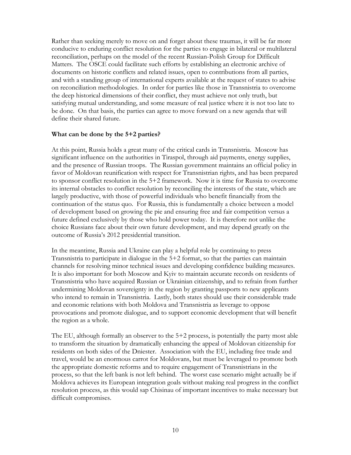Rather than seeking merely to move on and forget about these traumas, it will be far more conducive to enduring conflict resolution for the parties to engage in bilateral or multilateral reconciliation, perhaps on the model of the recent Russian-Polish Group for Difficult Matters. The OSCE could facilitate such efforts by establishing an electronic archive of documents on historic conflicts and related issues, open to contributions from all parties, and with a standing group of international experts available at the request of states to advise on reconciliation methodologies. In order for parties like those in Transnistria to overcome the deep historical dimensions of their conflict, they must achieve not only truth, but satisfying mutual understanding, and some measure of real justice where it is not too late to be done. On that basis, the parties can agree to move forward on a new agenda that will define their shared future.

#### **What can be done by the 5+2 parties?**

At this point, Russia holds a great many of the critical cards in Transnistria. Moscow has significant influence on the authorities in Tiraspol, through aid payments, energy supplies, and the presence of Russian troops. The Russian government maintains an official policy in favor of Moldovan reunification with respect for Transnistrian rights, and has been prepared to sponsor conflict resolution in the 5+2 framework. Now it is time for Russia to overcome its internal obstacles to conflict resolution by reconciling the interests of the state, which are largely productive, with those of powerful individuals who benefit financially from the continuation of the status quo. For Russia, this is fundamentally a choice between a model of development based on growing the pie and ensuring free and fair competition versus a future defined exclusively by those who hold power today. It is therefore not unlike the choice Russians face about their own future development, and may depend greatly on the outcome of Russia's 2012 presidential transition.

In the meantime, Russia and Ukraine can play a helpful role by continuing to press Transnistria to participate in dialogue in the 5+2 format, so that the parties can maintain channels for resolving minor technical issues and developing confidence building measures. It is also important for both Moscow and Kyiv to maintain accurate records on residents of Transnistria who have acquired Russian or Ukrainian citizenship, and to refrain from further undermining Moldovan sovereignty in the region by granting passports to new applicants who intend to remain in Transnistria. Lastly, both states should use their considerable trade and economic relations with both Moldova and Transnistria as leverage to oppose provocations and promote dialogue, and to support economic development that will benefit the region as a whole.

The EU, although formally an observer to the 5+2 process, is potentially the party most able to transform the situation by dramatically enhancing the appeal of Moldovan citizenship for residents on both sides of the Dniester. Association with the EU, including free trade and travel, would be an enormous carrot for Moldovans, but must be leveraged to promote both the appropriate domestic reforms and to require engagement of Transnistrians in the process, so that the left bank is not left behind. The worst case scenario might actually be if Moldova achieves its European integration goals without making real progress in the conflict resolution process, as this would sap Chisinau of important incentives to make necessary but difficult compromises.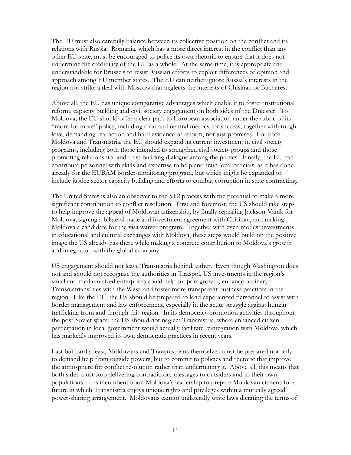The EU must also carefully balance between its collective position on the conflict and its relations with Russia. Romania, which has a more direct interest in the conflict than any other EU state, must be encouraged to police its own rhetoric to ensure that it does not undermine the credibility of the EU as a whole. At the same time, it is appropriate and understandable for Brussels to resist Russian efforts to exploit differences of opinion and approach among EU member states. The EU can neither ignore Russia's interests in the region nor strike a deal with Moscow that neglects the interests of Chisinau or Bucharest.

Above all, the EU has unique comparative advantages which enable it to foster institutional reform, capacity building and civil society engagement on both sides of the Dniester. To Moldova, the EU should offer a clear path to European association under the rubric of its "more for more" policy, including clear and neutral metrics for success, together with tough love, demanding real action and hard evidence of reform, not just promises. For both Moldova and Transnistria, the EU should expand its current investment in civil society programs, including both those intended to strengthen civil society groups and those promoting relationship- and trust-building dialogue among the parties. Finally, the EU can contribute personnel with skills and expertise to help and train local officials, as it has done already for the EUBAM border-monitoring program, but which might be expanded to include justice sector capacity building and efforts to combat corruption in state contracting.

The United States is also an observer to the 5+2 process with the potential to make a more significant contribution to conflict resolution. First and foremost, the US should take steps to help improve the appeal of Moldovan citizenship, by finally repealing Jackson-Vanik for Moldova, signing a bilateral trade and investment agreement with Chisinau, and making Moldova a candidate for the visa waiver program. Together with even modest investments in educational and cultural exchanges with Moldova, these steps would build on the positive image the US already has there while making a concrete contribution to Moldova's growth and integration with the global economy.

US engagement should not leave Transnistria behind, either. Even though Washington does not and should not recognize the authorities in Tiraspol, US investments in the region's small and medium sized enterprises could help support growth, enhance ordinary Transnistrians' ties with the West, and foster more transparent business practices in the region. Like the EU, the US should be prepared to lend experienced personnel to assist with border management and law enforcement, especially in the acute struggle against human trafficking from and through this region. In its democracy promotion activities throughout the post-Soviet space, the US should not neglect Transnistria, where enhanced citizen participation in local government would actually facilitate reintegration with Moldova, which has markedly improved its own democratic practices in recent years.

Last but hardly least, Moldovans and Transnistrians themselves must be prepared not only to demand help from outside powers, but to commit to policies and rhetoric that improve the atmosphere for conflict resolution rather than undermining it. Above all, this means that both sides must stop delivering contradictory messages to outsiders and to their own populations. It is incumbent upon Moldova's leadership to prepare Moldovan citizens for a future in which Transnistria enjoys unique rights and privileges within a mutually agreed power-sharing arrangement. Moldovans cannot unilaterally write laws dictating the terms of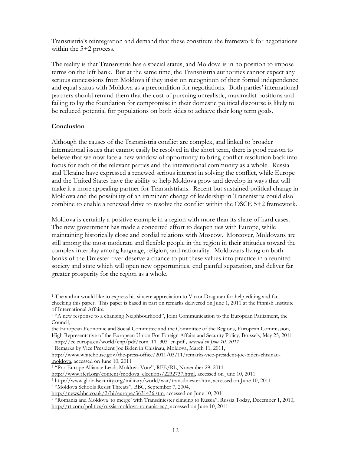Transnistria's reintegration and demand that these constitute the framework for negotiations within the 5+2 process.

The reality is that Transnistria has a special status, and Moldova is in no position to impose terms on the left bank. But at the same time, the Transnistria authorities cannot expect any serious concessions from Moldova if they insist on recognition of their formal independence and equal status with Moldova as a precondition for negotiations. Both parties' international partners should remind them that the cost of pursuing unrealistic, maximalist positions and failing to lay the foundation for compromise in their domestic political discourse is likely to be reduced potential for populations on both sides to achieve their long term goals.

## **Conclusion**

 $\overline{a}$ 

Although the causes of the Transnistria conflict are complex, and linked to broader international issues that cannot easily be resolved in the short term, there is good reason to believe that we now face a new window of opportunity to bring conflict resolution back into focus for each of the relevant parties and the international community as a whole. Russia and Ukraine have expressed a renewed serious interest in solving the conflict, while Europe and the United States have the ability to help Moldova grow and develop in ways that will make it a more appealing partner for Transnistrians. Recent but sustained political change in Moldova and the possibility of an imminent change of leadership in Transnistria could also combine to enable a renewed drive to resolve the conflict within the OSCE 5+2 framework.

Moldova is certainly a positive example in a region with more than its share of hard cases. The new government has made a concerted effort to deepen ties with Europe, while maintaining historically close and cordial relations with Moscow. Moreover, Moldovans are still among the most moderate and flexible people in the region in their attitudes toward the complex interplay among language, religion, and nationality. Moldovans living on both banks of the Dniester river deserve a chance to put these values into practice in a reunited society and state which will open new opportunities, end painful separation, and deliver far greater prosperity for the region as a whole.

3 Remarks by Vice President Joe Biden in Chisinau, Moldova, March 11, 2011,

<sup>1</sup> The author would like to express his sincere appreciation to Victor Dragutan for help editing and factchecking this paper. This paper is based in part on remarks delivered on June 1, 2011 at the Finnish Institute of International Affairs.

<sup>&</sup>lt;sup>2</sup> "A new response to a changing Neighbourhood", Joint Communication to the European Parliament, the Council,

the European Economic and Social Committee and the Committee of the Regions, European Commission, High Representative of the European Union For Foreign Affairs and Security Policy, Brussels, May 25, 2011 http://ec.europa.eu/world/enp/pdf/com\_11\_303\_en.pdf *, accessed on June 10, 2011* 

http://www.whitehouse.gov/the-press-office/2011/03/11/remarks-vice-president-joe-biden-chisinaumoldova, accessed on June 10, 2011

<sup>&</sup>lt;sup>4</sup> "Pro-Europe Alliance Leads Moldova Vote", RFE/RL, November 29, 2011<br>http://www.rferl.org/content/modova\_elections/2232737.html, accessed on June 10, 2011

<sup>&</sup>lt;sup>5</sup> http://www.globalsecurity.org/military/world/war/transdniester.htm, accessed on June 10, 2011<br>
<sup>6</sup> "Moldova Schools Resist Threats", BBC, September 7, 2004,<br>
http://news.bbc.co.uk/2/hi/europe/3631436.stm, accessed on J

<sup>&</sup>lt;sup>7</sup> "Romania and Moldova 'to merge' with Transdniester clinging to Russia", Russia Today, December 1, 2010, http://rt.com/politics/russia-moldova-romania-eu/, accessed on June 10, 2011